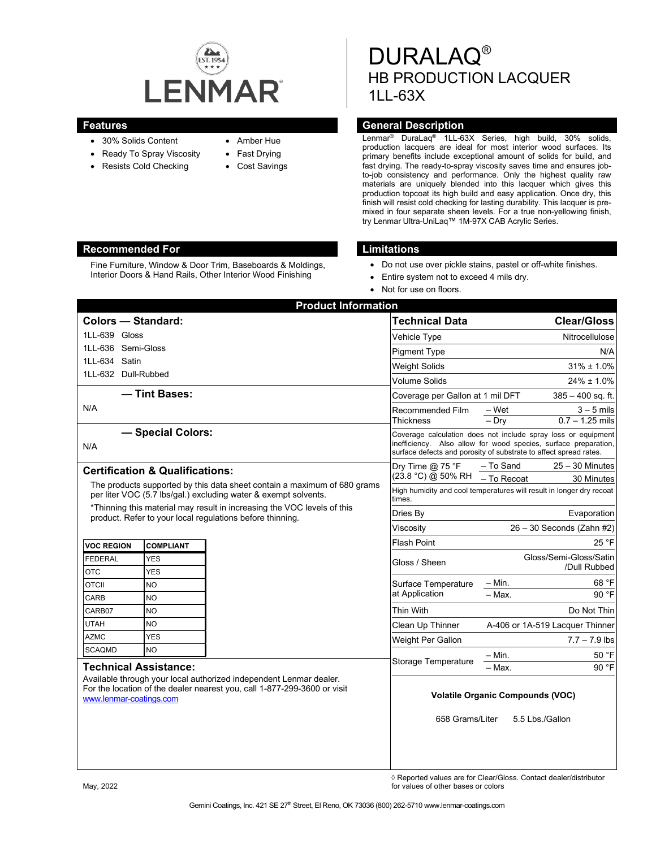

- 30% Solids Content
- Ready To Spray Viscosity
- Resists Cold Checking
- Amber Hue
- Fast Drying
- Cost Savings

DURALAQ® HB PRODUCTION LACQUER 1LL-63X

## **Features General Description**

Lenmar® DuraLaq® 1LL-63X Series, high build, 30% solids, production lacquers are ideal for most interior wood surfaces. Its primary benefits include exceptional amount of solids for build, and fast drying. The ready-to-spray viscosity saves time and ensures jobto-job consistency and performance. Only the highest quality raw materials are uniquely blended into this lacquer which gives this production topcoat its high build and easy application. Once dry, this finish will resist cold checking for lasting durability. This lacquer is premixed in four separate sheen levels. For a true non-yellowing finish, try Lenmar Ultra-UniLaq™ 1M-97X CAB Acrylic Series.

#### **Recommended For Limitations**

Fine Furniture, Window & Door Trim, Baseboards & Moldings, Interior Doors & Hand Rails, Other Interior Wood Finishing

- Do not use over pickle stains, pastel or off-white finishes.
- Entire system not to exceed 4 mils dry.
- Not for use on floors.

| <b>Product Information</b>                                                                                                                                                                                |                  |  |                                                                                                                                                                                                       |                          |                                   |
|-----------------------------------------------------------------------------------------------------------------------------------------------------------------------------------------------------------|------------------|--|-------------------------------------------------------------------------------------------------------------------------------------------------------------------------------------------------------|--------------------------|-----------------------------------|
| <b>Colors - Standard:</b>                                                                                                                                                                                 |                  |  | <b>Technical Data</b>                                                                                                                                                                                 |                          | <b>Clear/Gloss</b>                |
| 1LL-639 Gloss                                                                                                                                                                                             |                  |  | Vehicle Type                                                                                                                                                                                          |                          | Nitrocellulose                    |
| 1LL-636 Semi-Gloss                                                                                                                                                                                        |                  |  | <b>Pigment Type</b>                                                                                                                                                                                   |                          | N/A                               |
| 1LL-634 Satin                                                                                                                                                                                             |                  |  | <b>Weight Solids</b>                                                                                                                                                                                  |                          | $31\% \pm 1.0\%$                  |
| 1LL-632 Dull-Rubbed                                                                                                                                                                                       |                  |  | <b>Volume Solids</b>                                                                                                                                                                                  |                          | $24\% \pm 1.0\%$                  |
| - Tint Bases:                                                                                                                                                                                             |                  |  | Coverage per Gallon at 1 mil DFT                                                                                                                                                                      |                          | $385 - 400$ sq. ft.               |
| N/A                                                                                                                                                                                                       |                  |  | Recommended Film<br><b>Thickness</b>                                                                                                                                                                  | – Wet<br>$-$ Dry         | $3 - 5$ mils<br>$0.7 - 1.25$ mils |
| - Special Colors:<br>N/A                                                                                                                                                                                  |                  |  | Coverage calculation does not include spray loss or equipment<br>inefficiency. Also allow for wood species, surface preparation,<br>surface defects and porosity of substrate to affect spread rates. |                          |                                   |
| <b>Certification &amp; Qualifications:</b>                                                                                                                                                                |                  |  | Dry Time $@$ 75 °F<br>(23.8 °C) @ 50% RH                                                                                                                                                              | – To Sand<br>- To Recoat | $25 - 30$ Minutes<br>30 Minutes   |
| The products supported by this data sheet contain a maximum of 680 grams<br>per liter VOC (5.7 lbs/gal.) excluding water & exempt solvents.                                                               |                  |  | High humidity and cool temperatures will result in longer dry recoat<br>times.                                                                                                                        |                          |                                   |
| *Thinning this material may result in increasing the VOC levels of this<br>product. Refer to your local regulations before thinning.                                                                      |                  |  | Dries By                                                                                                                                                                                              |                          | Evaporation                       |
|                                                                                                                                                                                                           |                  |  | Viscosity                                                                                                                                                                                             |                          | $26 - 30$ Seconds (Zahn #2)       |
| <b>VOC REGION</b>                                                                                                                                                                                         | <b>COMPLIANT</b> |  | <b>Flash Point</b>                                                                                                                                                                                    |                          | 25 °F                             |
| <b>FEDERAL</b>                                                                                                                                                                                            | <b>YES</b>       |  | Gloss / Sheen                                                                                                                                                                                         |                          | Gloss/Semi-Gloss/Satin            |
| <b>OTC</b>                                                                                                                                                                                                | <b>YES</b>       |  |                                                                                                                                                                                                       |                          | /Dull Rubbed                      |
| <b>OTCII</b>                                                                                                                                                                                              | <b>NO</b>        |  | Surface Temperature                                                                                                                                                                                   | $-$ Min.                 | 68 °F                             |
| <b>CARB</b>                                                                                                                                                                                               | <b>NO</b>        |  | at Application                                                                                                                                                                                        | $-$ Max.                 | 90 °F                             |
| CARB07                                                                                                                                                                                                    | <b>NO</b>        |  | Thin With                                                                                                                                                                                             |                          | Do Not Thin                       |
| <b>UTAH</b>                                                                                                                                                                                               | NO               |  | Clean Up Thinner                                                                                                                                                                                      |                          | A-406 or 1A-519 Lacquer Thinner   |
| <b>AZMC</b>                                                                                                                                                                                               | <b>YES</b>       |  | Weight Per Gallon                                                                                                                                                                                     |                          | $7.7 - 7.9$ lbs                   |
| <b>SCAQMD</b>                                                                                                                                                                                             | <b>NO</b>        |  | <b>Storage Temperature</b>                                                                                                                                                                            | $-$ Min.                 | 50 °F                             |
| <b>Technical Assistance:</b><br>Available through your local authorized independent Lenmar dealer.<br>For the location of the dealer nearest you, call 1-877-299-3600 or visit<br>www.lenmar-coatings.com |                  |  |                                                                                                                                                                                                       | - Max.                   | 90 °F                             |
|                                                                                                                                                                                                           |                  |  | <b>Volatile Organic Compounds (VOC)</b>                                                                                                                                                               |                          |                                   |
|                                                                                                                                                                                                           |                  |  | 658 Grams/Liter                                                                                                                                                                                       |                          | 5.5 Lbs./Gallon                   |

◊ Reported values are for Clear/Gloss. Contact dealer/distributor May, 2022 **and 2012 and 2013 has a conservative of original conservative of other bases or colors of other bases or colors**